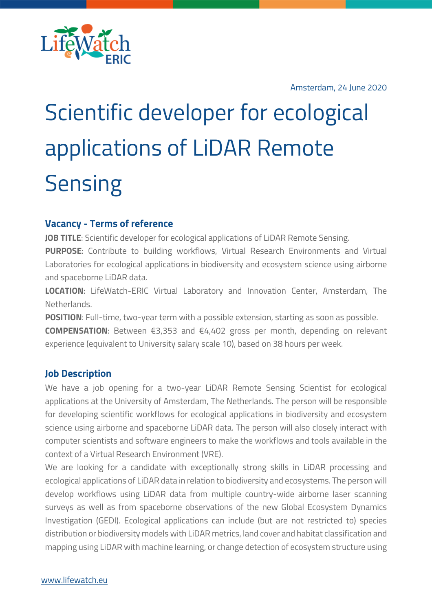

Amsterdam, 24 June 2020

# Scientific developer for ecological applications of LiDAR Remote **Sensing**

# **Vacancy - Terms of reference**

**JOB TITLE**: Scientific developer for ecological applications of LiDAR Remote Sensing. **PURPOSE**: Contribute to building workflows, Virtual Research Environments and Virtual Laboratories for ecological applications in biodiversity and ecosystem science using airborne and spaceborne LiDAR data.

**LOCATION**: LifeWatch-ERIC Virtual Laboratory and Innovation Center, Amsterdam, The Netherlands.

**POSITION**: Full-time, two-year term with a possible extension, starting as soon as possible.

**COMPENSATION**: Between €3,353 and €4,402 gross per month, depending on relevant experience (equivalent to University salary scale 10), based on 38 hours per week.

# **Job Description**

We have a job opening for a two-year LiDAR Remote Sensing Scientist for ecological applications at the University of Amsterdam, The Netherlands. The person will be responsible for developing scientific workflows for ecological applications in biodiversity and ecosystem science using airborne and spaceborne LiDAR data. The person will also closely interact with computer scientists and software engineers to make the workflows and tools available in the context of a Virtual Research Environment (VRE).

We are looking for a candidate with exceptionally strong skills in LiDAR processing and ecological applications of LiDAR data in relation to biodiversity and ecosystems. The person will develop workflows using LiDAR data from multiple country-wide airborne laser scanning surveys as well as from spaceborne observations of the new Global Ecosystem Dynamics Investigation (GEDI). Ecological applications can include (but are not restricted to) species distribution or biodiversity models with LiDAR metrics, land cover and habitat classification and mapping using LiDAR with machine learning, or change detection of ecosystem structure using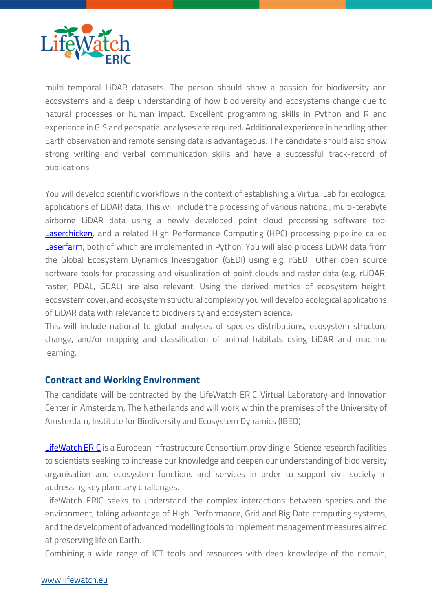

multi-temporal LiDAR datasets. The person should show a passion for biodiversity and ecosystems and a deep understanding of how biodiversity and ecosystems change due to natural processes or human impact. Excellent programming skills in Python and R and experience in GIS and geospatial analyses are required. Additional experience in handling other Earth observation and remote sensing data is advantageous. The candidate should also show strong writing and verbal communication skills and have a successful track-record of publications.

You will develop scientific workflows in the context of establishing a Virtual Lab for ecological applications of LiDAR data. This will include the processing of various national, multi-terabyte airborne LiDAR data using a newly developed point cloud processing software tool **Laserchicken**, and a related High Performance Computing (HPC) processing pipeline called Laserfarm, both of which are implemented in Python. You will also process LiDAR data from the Global Ecosystem Dynamics Investigation (GEDI) using e.g. rGEDI. Other open source software tools for processing and visualization of point clouds and raster data (e.g. rLiDAR, raster, PDAL, GDAL) are also relevant. Using the derived metrics of ecosystem height, ecosystem cover, and ecosystem structural complexity you will develop ecological applications of LiDAR data with relevance to biodiversity and ecosystem science.

This will include national to global analyses of species distributions, ecosystem structure change, and/or mapping and classification of animal habitats using LiDAR and machine learning.

## **Contract and Working Environment**

The candidate will be contracted by the LifeWatch ERIC Virtual Laboratory and Innovation Center in Amsterdam, The Netherlands and will work within the premises of the University of Amsterdam, Institute for Biodiversity and Ecosystem Dynamics (IBED)

LifeWatch ERIC is a European Infrastructure Consortium providing e-Science research facilities to scientists seeking to increase our knowledge and deepen our understanding of biodiversity organisation and ecosystem functions and services in order to support civil society in addressing key planetary challenges.

LifeWatch ERIC seeks to understand the complex interactions between species and the environment, taking advantage of High-Performance, Grid and Big Data computing systems, and the development of advanced modelling tools to implement management measures aimed at preserving life on Earth.

Combining a wide range of ICT tools and resources with deep knowledge of the domain,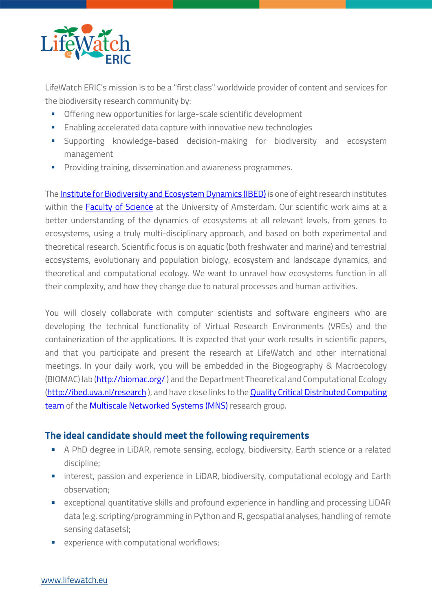

LifeWatch ERIC's mission is to be a "first class" worldwide provider of content and services for the biodiversity research community by:

- Offering new opportunities for large-scale scientific development
- **Enabling accelerated data capture with innovative new technologies**
- § Supporting knowledge-based decision-making for biodiversity and ecosystem management
- **•** Providing training, dissemination and awareness programmes.

The **Institute for Biodiversity and Ecosystem Dynamics (IBED)** is one of eight research institutes within the **Faculty of Science** at the University of Amsterdam. Our scientific work aims at a better understanding of the dynamics of ecosystems at all relevant levels, from genes to ecosystems, using a truly multi-disciplinary approach, and based on both experimental and theoretical research. Scientific focus is on aquatic (both freshwater and marine) and terrestrial ecosystems, evolutionary and population biology, ecosystem and landscape dynamics, and theoretical and computational ecology. We want to unravel how ecosystems function in all their complexity, and how they change due to natural processes and human activities.

You will closely collaborate with computer scientists and software engineers who are developing the technical functionality of Virtual Research Environments (VREs) and the containerization of the applications. It is expected that your work results in scientific papers, and that you participate and present the research at LifeWatch and other international meetings. In your daily work, you will be embedded in the Biogeography & Macroecology (BIOMAC) lab (http://biomac.org/ ) and the Department Theoretical and Computational Ecology (http://ibed.uva.nl/research), and have close links to the Quality Critical Distributed Computing team of the Multiscale Networked Systems (MNS) research group.

## **The ideal candidate should meet the following requirements**

- § A PhD degree in LiDAR, remote sensing, ecology, biodiversity, Earth science or a related discipline;
- interest, passion and experience in LiDAR, biodiversity, computational ecology and Earth observation;
- exceptional quantitative skills and profound experience in handling and processing LiDAR data (e.g. scripting/programming in Python and R, geospatial analyses, handling of remote sensing datasets);
- experience with computational workflows;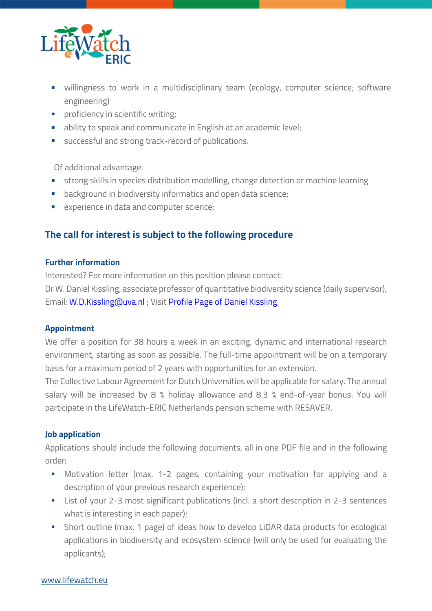

- willingness to work in a multidisciplinary team (ecology, computer science; software engineering)
- proficiency in scientific writing;
- **•** ability to speak and communicate in English at an academic level;
- successful and strong track-record of publications.

Of additional advantage:

- § strong skills in species distribution modelling, change detection or machine learning
- background in biodiversity informatics and open data science;
- experience in data and computer science;

# **The call for interest is subject to the following procedure**

### **Further information**

Interested? For more information on this position please contact: Dr W. Daniel Kissling, associate professor of quantitative biodiversity science (daily supervisor), Email: W.D.Kissling@uva.nl ; Visit Profile Page of Daniel Kissling

### **Appointment**

We offer a position for 38 hours a week in an exciting, dynamic and international research environment, starting as soon as possible. The full-time appointment will be on a temporary basis for a maximum period of 2 years with opportunities for an extension.

The Collective Labour Agreement for Dutch Universities will be applicable for salary. The annual salary will be increased by 8 % holiday allowance and 8.3 % end-of-year bonus. You will participate in the LifeWatch-ERIC Netherlands pension scheme with RESAVER.

### **Job application**

Applications should include the following documents, all in one PDF file and in the following order:

- § Motivation letter (max. 1-2 pages, containing your motivation for applying and a description of your previous research experience);
- List of your 2-3 most significant publications (incl. a short description in 2-3 sentences what is interesting in each paper);
- **•** Short outline (max. 1 page) of ideas how to develop LiDAR data products for ecological applications in biodiversity and ecosystem science (will only be used for evaluating the applicants);